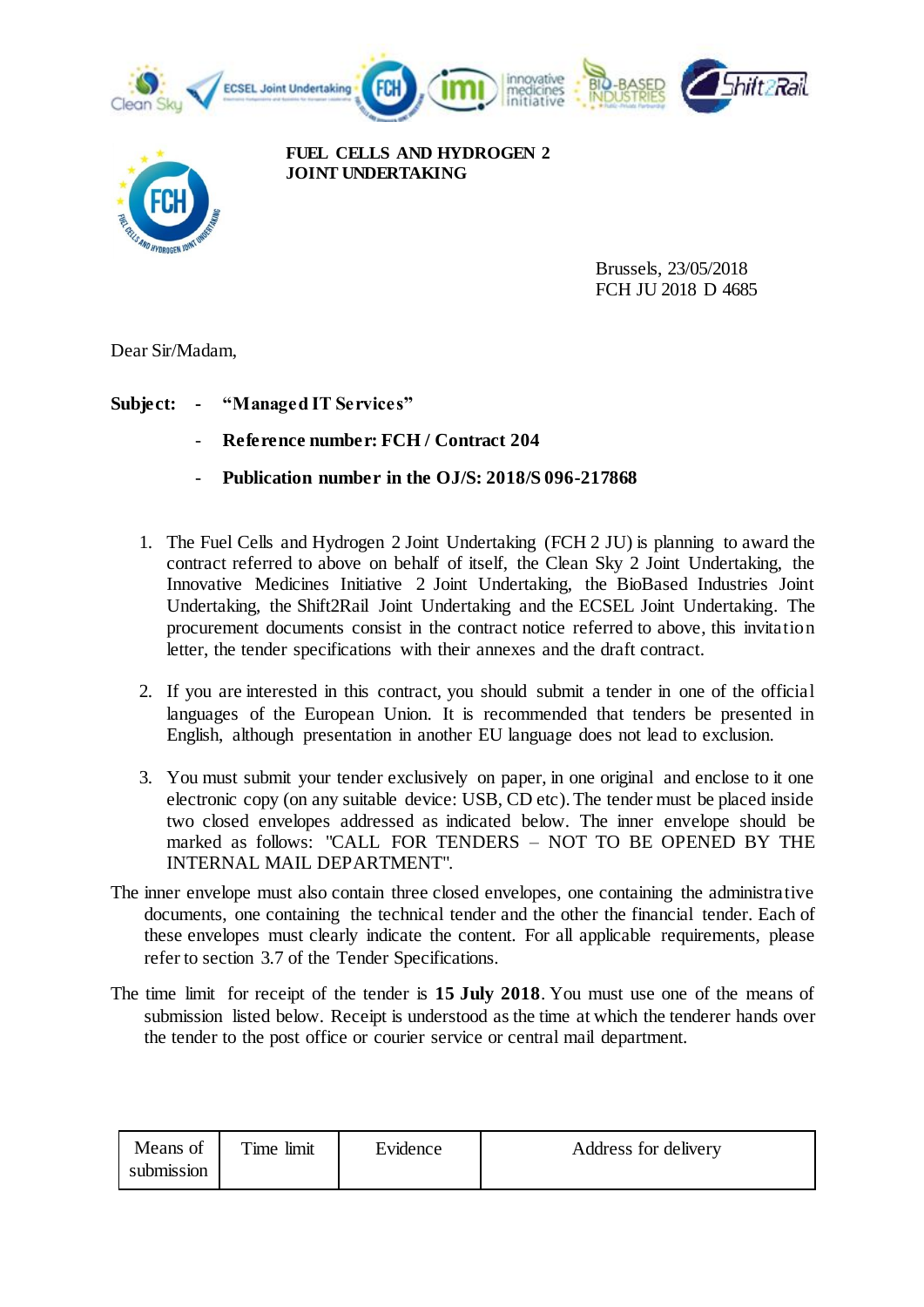



**FUEL CELLS AND HYDROGEN 2 JOINT UNDERTAKING**

> Brussels, 23/05/2018 FCH JU 2018 D 4685

Dear Sir/Madam,

**Subject: - "Managed IT Services"** 

- **Reference number: FCH / Contract 204**
- **Publication number in the OJ/S: 2018/S 096-217868**
- 1. The Fuel Cells and Hydrogen 2 Joint Undertaking (FCH 2 JU) is planning to award the contract referred to above on behalf of itself, the Clean Sky 2 Joint Undertaking, the Innovative Medicines Initiative 2 Joint Undertaking, the BioBased Industries Joint Undertaking, the Shift2Rail Joint Undertaking and the ECSEL Joint Undertaking. The procurement documents consist in the contract notice referred to above, this invitation letter, the tender specifications with their annexes and the draft contract.
- 2. If you are interested in this contract, you should submit a tender in one of the official languages of the European Union. It is recommended that tenders be presented in English, although presentation in another EU language does not lead to exclusion.
- 3. You must submit your tender exclusively on paper, in one original and enclose to it one electronic copy (on any suitable device: USB, CD etc). The tender must be placed inside two closed envelopes addressed as indicated below. The inner envelope should be marked as follows: "CALL FOR TENDERS – NOT TO BE OPENED BY THE INTERNAL MAIL DEPARTMENT".
- The inner envelope must also contain three closed envelopes, one containing the administrative documents, one containing the technical tender and the other the financial tender. Each of these envelopes must clearly indicate the content. For all applicable requirements, please refer to section 3.7 of the Tender Specifications.
- The time limit for receipt of the tender is **15 July 2018**. You must use one of the means of submission listed below. Receipt is understood as the time at which the tenderer hands over the tender to the post office or courier service or central mail department.

| Means of<br>submission | Time limit | Evidence | Address for delivery |
|------------------------|------------|----------|----------------------|
|------------------------|------------|----------|----------------------|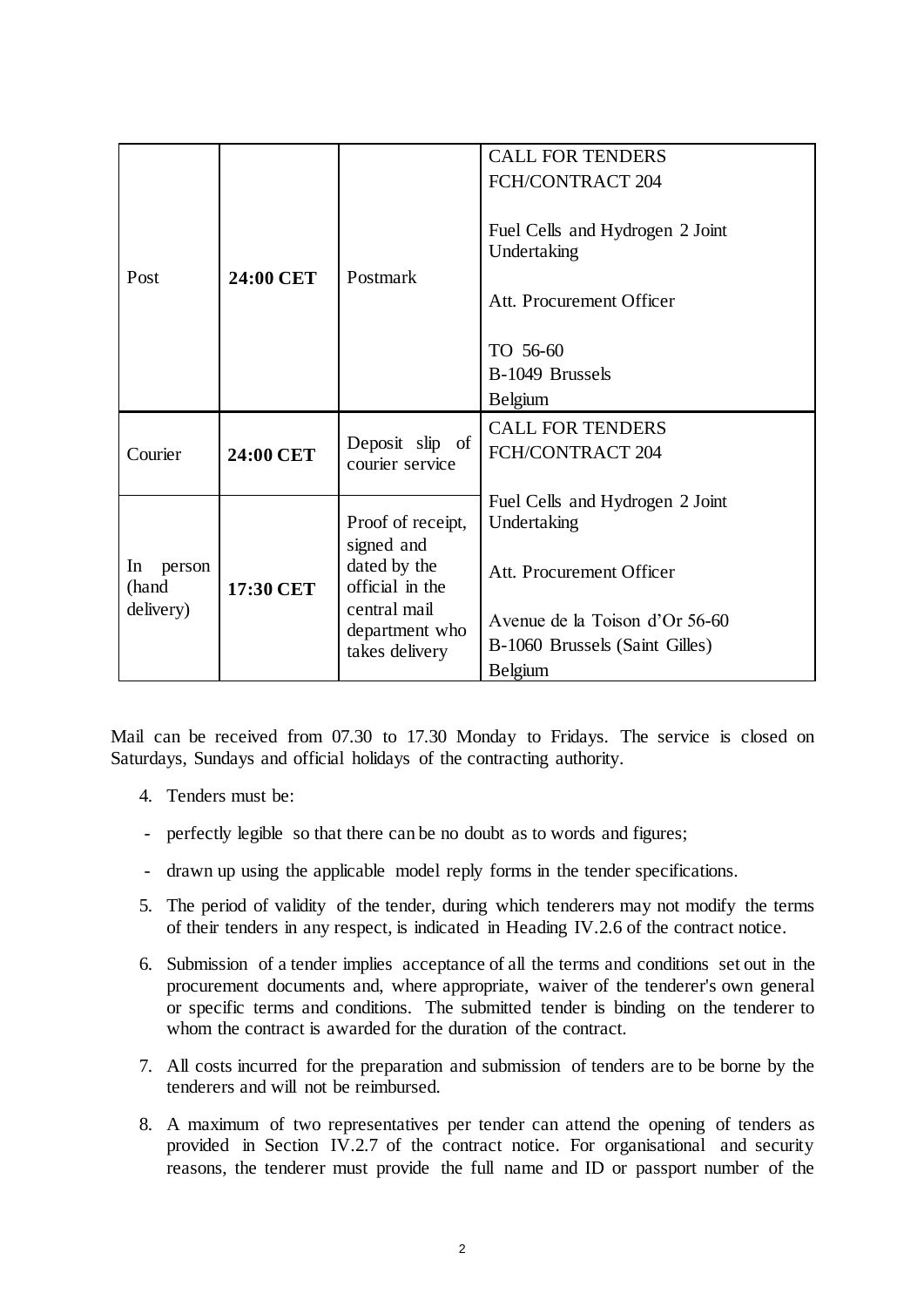| Post                               | 24:00 CET | Postmark                         | <b>CALL FOR TENDERS</b>         |
|------------------------------------|-----------|----------------------------------|---------------------------------|
|                                    |           |                                  | FCH/CONTRACT 204                |
|                                    |           |                                  |                                 |
|                                    |           |                                  | Fuel Cells and Hydrogen 2 Joint |
|                                    |           |                                  | Undertaking                     |
|                                    |           |                                  |                                 |
|                                    |           |                                  |                                 |
|                                    |           |                                  | Att. Procurement Officer        |
|                                    |           |                                  |                                 |
|                                    |           |                                  | TO 56-60                        |
|                                    |           |                                  | B-1049 Brussels                 |
|                                    |           |                                  | <b>Belgium</b>                  |
| Courier                            | 24:00 CET | Deposit slip of                  | <b>CALL FOR TENDERS</b>         |
|                                    |           |                                  | FCH/CONTRACT 204                |
|                                    |           | courier service                  |                                 |
|                                    |           |                                  | Fuel Cells and Hydrogen 2 Joint |
| In<br>person<br>(hand<br>delivery) | 17:30 CET | Proof of receipt,                | Undertaking                     |
|                                    |           | signed and                       |                                 |
|                                    |           | dated by the                     | Att. Procurement Officer        |
|                                    |           | official in the                  |                                 |
|                                    |           | central mail                     |                                 |
|                                    |           | department who<br>takes delivery | Avenue de la Toison d'Or 56-60  |
|                                    |           |                                  | B-1060 Brussels (Saint Gilles)  |
|                                    |           |                                  | <b>Belgium</b>                  |

Mail can be received from 07.30 to 17.30 Monday to Fridays. The service is closed on Saturdays, Sundays and official holidays of the contracting authority.

- 4. Tenders must be:
- perfectly legible so that there can be no doubt as to words and figures;
- drawn up using the applicable model reply forms in the tender specifications.
- 5. The period of validity of the tender, during which tenderers may not modify the terms of their tenders in any respect, is indicated in Heading IV.2.6 of the contract notice.
- 6. Submission of a tender implies acceptance of all the terms and conditions set out in the procurement documents and, where appropriate, waiver of the tenderer's own general or specific terms and conditions. The submitted tender is binding on the tenderer to whom the contract is awarded for the duration of the contract.
- 7. All costs incurred for the preparation and submission of tenders are to be borne by the tenderers and will not be reimbursed.
- 8. A maximum of two representatives per tender can attend the opening of tenders as provided in Section IV.2.7 of the contract notice. For organisational and security reasons, the tenderer must provide the full name and ID or passport number of the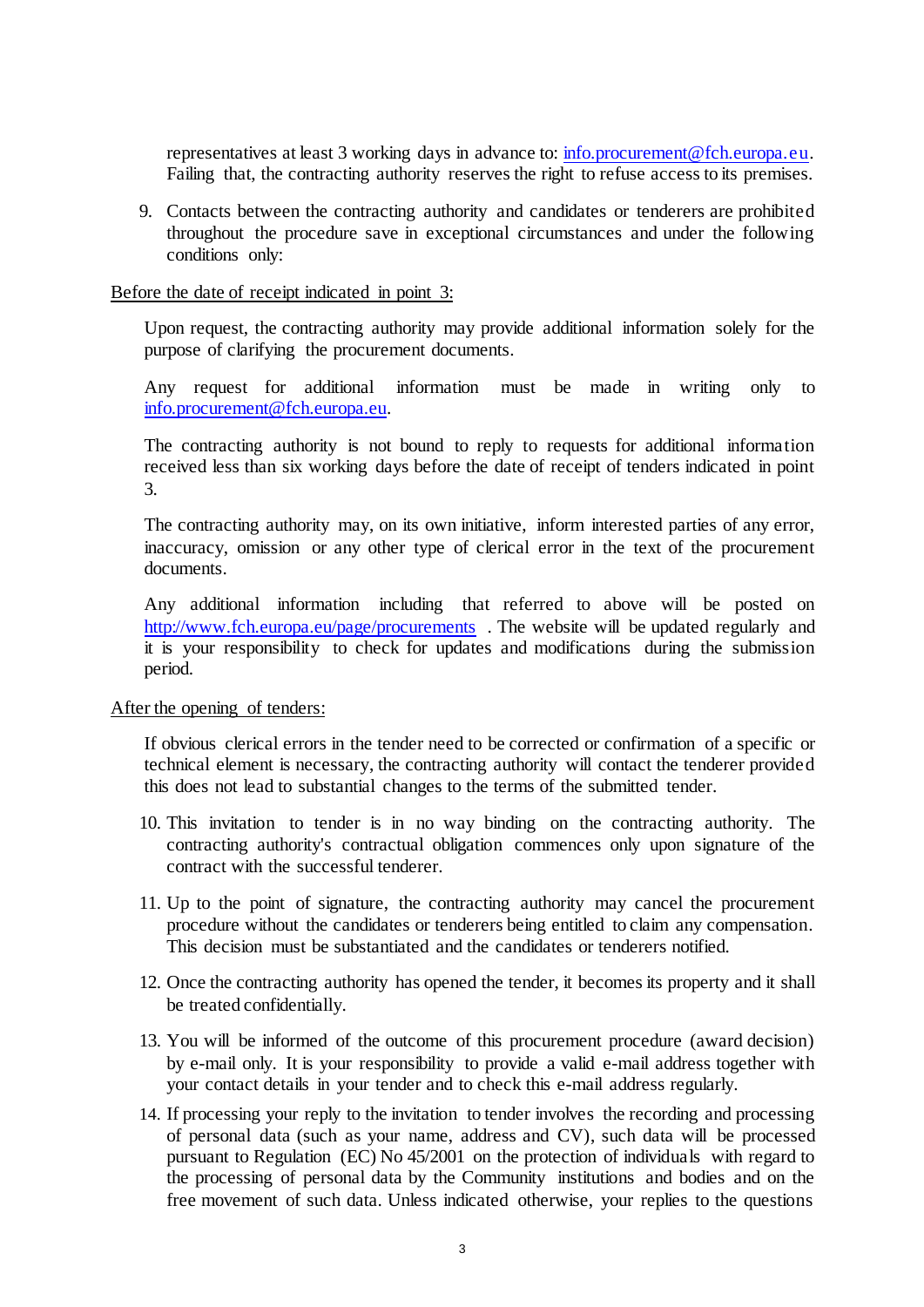representatives at least 3 working days in advance to: [info.procurement@fch.europa.eu.](mailto:info.procurement@fch.europa.eu) Failing that, the contracting authority reserves the right to refuse access to its premises.

9. Contacts between the contracting authority and candidates or tenderers are prohibited throughout the procedure save in exceptional circumstances and under the following conditions only:

## Before the date of receipt indicated in point 3:

Upon request, the contracting authority may provide additional information solely for the purpose of clarifying the procurement documents.

Any request for additional information must be made in writing only to [info.procurement@fch.europa.eu.](mailto:info.procurement@fch.europa.eu)

The contracting authority is not bound to reply to requests for additional information received less than six working days before the date of receipt of tenders indicated in point 3.

The contracting authority may, on its own initiative, inform interested parties of any error, inaccuracy, omission or any other type of clerical error in the text of the procurement documents.

Any additional information including that referred to above will be posted on <http://www.fch.europa.eu/page/procurements> . The website will be updated regularly and it is your responsibility to check for updates and modifications during the submission period.

## After the opening of tenders:

If obvious clerical errors in the tender need to be corrected or confirmation of a specific or technical element is necessary, the contracting authority will contact the tenderer provided this does not lead to substantial changes to the terms of the submitted tender.

- 10. This invitation to tender is in no way binding on the contracting authority. The contracting authority's contractual obligation commences only upon signature of the contract with the successful tenderer.
- 11. Up to the point of signature, the contracting authority may cancel the procurement procedure without the candidates or tenderers being entitled to claim any compensation. This decision must be substantiated and the candidates or tenderers notified.
- 12. Once the contracting authority has opened the tender, it becomes its property and it shall be treated confidentially.
- 13. You will be informed of the outcome of this procurement procedure (award decision) by e-mail only. It is your responsibility to provide a valid e-mail address together with your contact details in your tender and to check this e-mail address regularly.
- 14. If processing your reply to the invitation to tender involves the recording and processing of personal data (such as your name, address and CV), such data will be processed pursuant to Regulation (EC) No 45/2001 on the protection of individuals with regard to the processing of personal data by the Community institutions and bodies and on the free movement of such data. Unless indicated otherwise, your replies to the questions